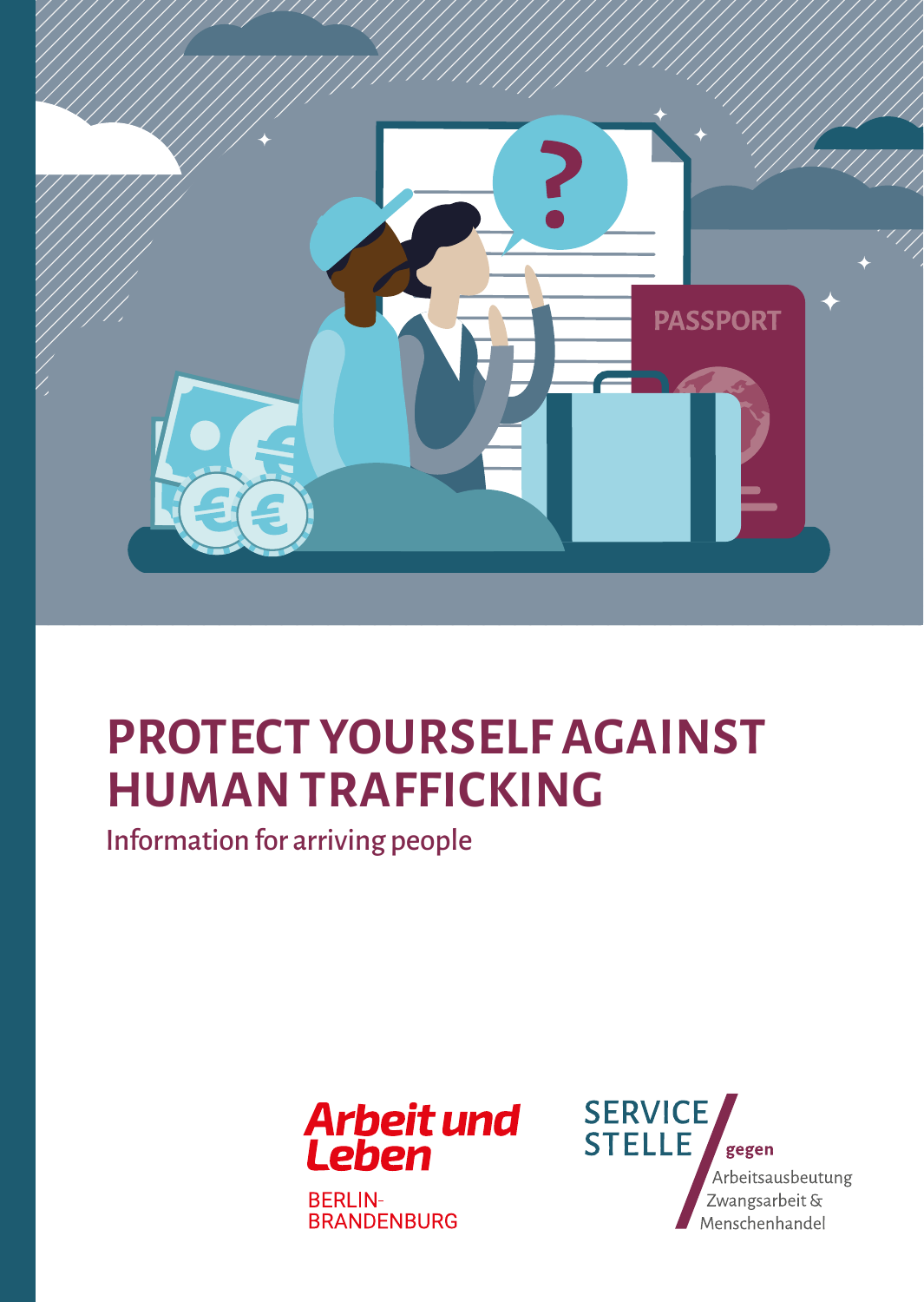

## **PROTECT YOURSELF AGAINST HUMAN TRAFFICKING**

Information for arriving people



**BERLIN-BRANDENBURG** 

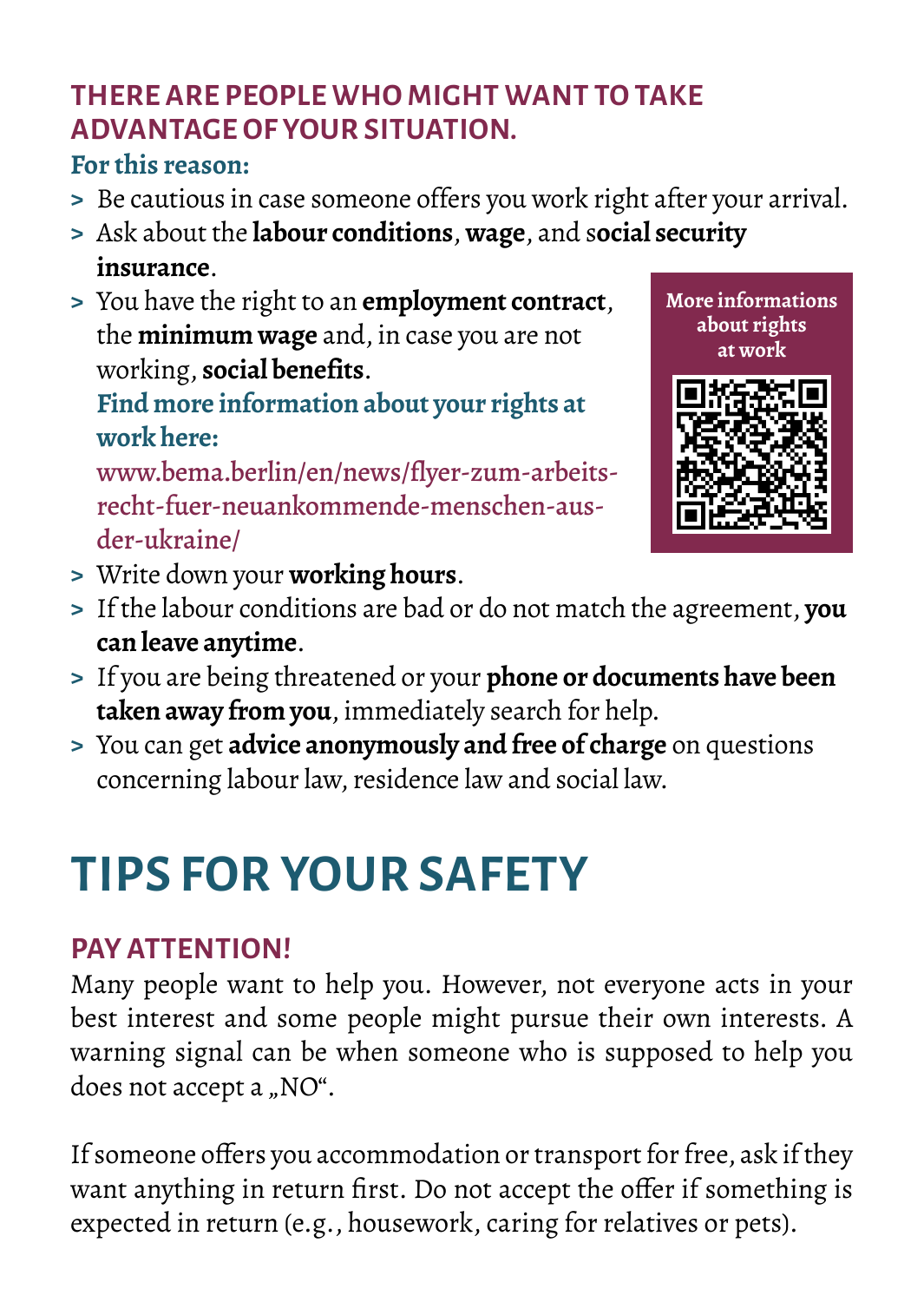## **THERE ARE PEOPLE WHO MIGHT WANT TO TAKE ADVANTAGE OF YOUR SITUATION.**

#### **For this reason:**

- **>** Be cautious in case someone offers you work right after your arrival.
- **>** Ask about the **labour conditions**, **wage**, and s**ocial security insurance**.
- **>** You have the right to an **employment contract**, the **minimum wage** and, in case you are not working, **social benefits**.

**Find more information about your rights at work here:** 

[www.bema.berlin/en/news/flyer-zum-arbeits](https://www.bema.berlin/en/news/flyer-zum-arbeitsrecht-fuer-neuankommende-menschen-aus-der-ukraine/)[recht-fuer-neuankommende-menschen-aus](https://www.bema.berlin/en/news/flyer-zum-arbeitsrecht-fuer-neuankommende-menschen-aus-der-ukraine/)[der-ukraine/](https://www.bema.berlin/en/news/flyer-zum-arbeitsrecht-fuer-neuankommende-menschen-aus-der-ukraine/)



- **>** Write down your **working hours**.
- **>** If the labour conditions are bad or do not match the agreement, **you can leave anytime**.
- **>** If you are being threatened or your **phone or documents have been taken away from you**, immediately search for help.
- **>** You can get **advice anonymously and free of charge** on questions concerning labour law, residence law and social law.

# **TIPS FOR YOUR SAFETY**

### **PAY ATTENTION!**

Many people want to help you. However, not everyone acts in your best interest and some people might pursue their own interests. A warning signal can be when someone who is supposed to help you does not accept a "NO".

If someone offers you accommodation or transport for free, ask if they want anything in return first. Do not accept the offer if something is expected in return (e.g., housework, caring for relatives or pets).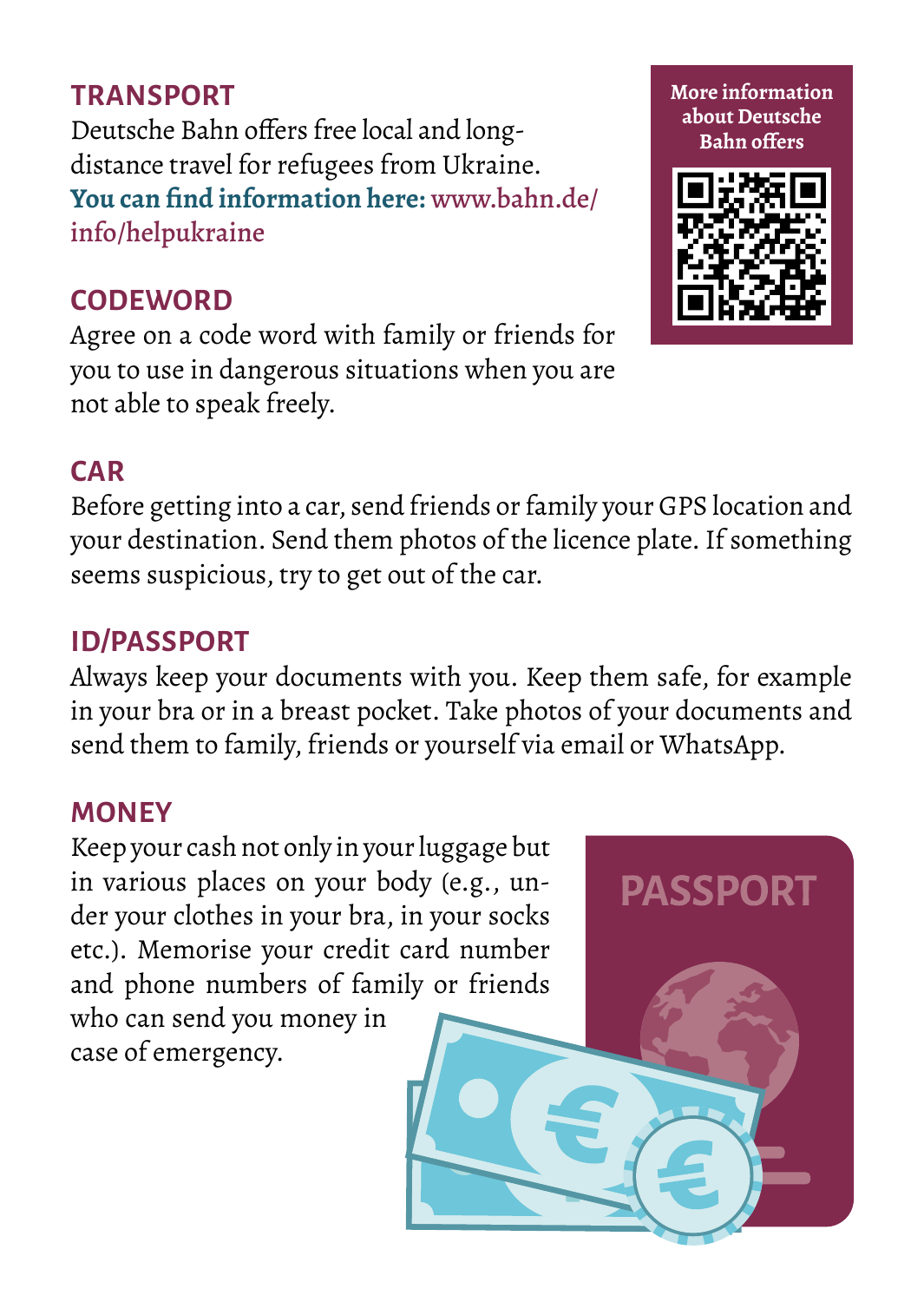#### **TDANSDORT**

Deutsche Bahn offers free local and longdistance travel for refugees from Ukraine. **You can find information here:** [www.bahn.de/](https://www.bahn.de/info/helpukraine) [info/helpukraine](https://www.bahn.de/info/helpukraine)

#### **CODEWORD**

Agree on a code word with family or friends for you to use in dangerous situations when you are not able to speak freely.

### **CAR**

Before getting into a car, send friends or family your GPS location and your destination. Send them photos of the licence plate. If something seems suspicious, try to get out of the car.

### **ID/PASSPORT**

Always keep your documents with you. Keep them safe, for example in your bra or in a breast pocket. Take photos of your documents and send them to family, friends or yourself via email or WhatsApp.

#### **MONEY**

Keep your cash not only in your luggage but in various places on your body (e.g., under your clothes in your bra, in your socks etc.). Memorise your credit card number and phone numbers of family or friends who can send you money in case of emergency.







**More information**